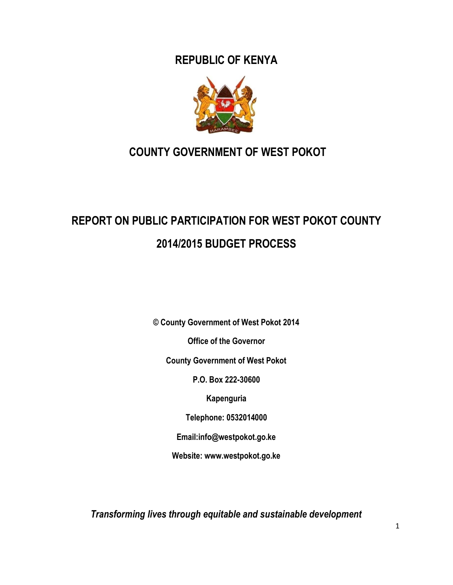**REPUBLIC OF KENYA**



# **COUNTY GOVERNMENT OF WEST POKOT**

# **REPORT ON PUBLIC PARTICIPATION FOR WEST POKOT COUNTY 2014/2015 BUDGET PROCESS**

**© County Government of West Pokot 2014**

**Office of the Governor**

**County Government of West Pokot**

**P.O. Box 222-30600**

**Kapenguria**

**Telephone: 0532014000**

**Email:info@westpokot.go.ke**

**Website: www.westpokot.go.ke**

*Transforming lives through equitable and sustainable development*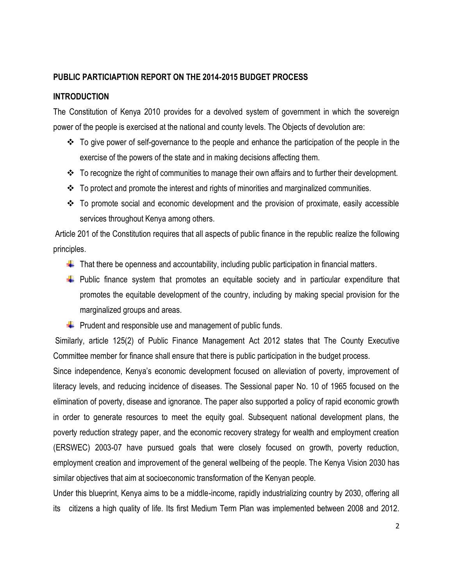#### **PUBLIC PARTICIAPTION REPORT ON THE 2014-2015 BUDGET PROCESS**

#### **INTRODUCTION**

The Constitution of Kenya 2010 provides for a devolved system of government in which the sovereign power of the people is exercised at the national and county levels. The Objects of devolution are:

- To give power of self-governance to the people and enhance the participation of the people in the exercise of the powers of the state and in making decisions affecting them.
- $\div$  To recognize the right of communities to manage their own affairs and to further their development.
- $\cdot \cdot$  To protect and promote the interest and rights of minorities and marginalized communities.
- $\div$  To promote social and economic development and the provision of proximate, easily accessible services throughout Kenya among others.

Article 201 of the Constitution requires that all aspects of public finance in the republic realize the following principles.

- $\downarrow$  That there be openness and accountability, including public participation in financial matters.
- $\downarrow$  Public finance system that promotes an equitable society and in particular expenditure that promotes the equitable development of the country, including by making special provision for the marginalized groups and areas.
- $\downarrow$  Prudent and responsible use and management of public funds.

Similarly, article 125(2) of Public Finance Management Act 2012 states that The County Executive Committee member for finance shall ensure that there is public participation in the budget process.

Since independence, Kenya's economic development focused on alleviation of poverty, improvement of literacy levels, and reducing incidence of diseases. The Sessional paper No. 10 of 1965 focused on the elimination of poverty, disease and ignorance. The paper also supported a policy of rapid economic growth in order to generate resources to meet the equity goal. Subsequent national development plans, the poverty reduction strategy paper, and the economic recovery strategy for wealth and employment creation (ERSWEC) 2003-07 have pursued goals that were closely focused on growth, poverty reduction, employment creation and improvement of the general wellbeing of the people. The Kenya Vision 2030 has similar objectives that aim at socioeconomic transformation of the Kenyan people.

Under this blueprint, Kenya aims to be a middle-income, rapidly industrializing country by 2030, offering all its citizens a high quality of life. Its first Medium Term Plan was implemented between 2008 and 2012.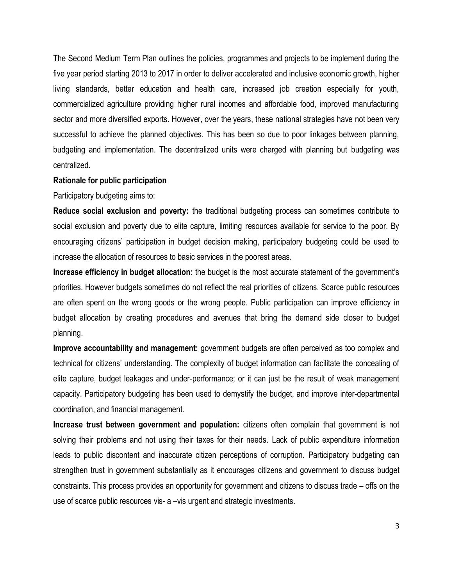The Second Medium Term Plan outlines the policies, programmes and projects to be implement during the five year period starting 2013 to 2017 in order to deliver accelerated and inclusive economic growth, higher living standards, better education and health care, increased job creation especially for youth, commercialized agriculture providing higher rural incomes and affordable food, improved manufacturing sector and more diversified exports. However, over the years, these national strategies have not been very successful to achieve the planned objectives. This has been so due to poor linkages between planning, budgeting and implementation. The decentralized units were charged with planning but budgeting was centralized.

#### **Rationale for public participation**

Participatory budgeting aims to:

**Reduce social exclusion and poverty:** the traditional budgeting process can sometimes contribute to social exclusion and poverty due to elite capture, limiting resources available for service to the poor. By encouraging citizens' participation in budget decision making, participatory budgeting could be used to increase the allocation of resources to basic services in the poorest areas.

**Increase efficiency in budget allocation:** the budget is the most accurate statement of the government's priorities. However budgets sometimes do not reflect the real priorities of citizens. Scarce public resources are often spent on the wrong goods or the wrong people. Public participation can improve efficiency in budget allocation by creating procedures and avenues that bring the demand side closer to budget planning.

**Improve accountability and management:** government budgets are often perceived as too complex and technical for citizens' understanding. The complexity of budget information can facilitate the concealing of elite capture, budget leakages and under-performance; or it can just be the result of weak management capacity. Participatory budgeting has been used to demystify the budget, and improve inter-departmental coordination, and financial management.

**Increase trust between government and population:** citizens often complain that government is not solving their problems and not using their taxes for their needs. Lack of public expenditure information leads to public discontent and inaccurate citizen perceptions of corruption. Participatory budgeting can strengthen trust in government substantially as it encourages citizens and government to discuss budget constraints. This process provides an opportunity for government and citizens to discuss trade – offs on the use of scarce public resources vis- a –vis urgent and strategic investments.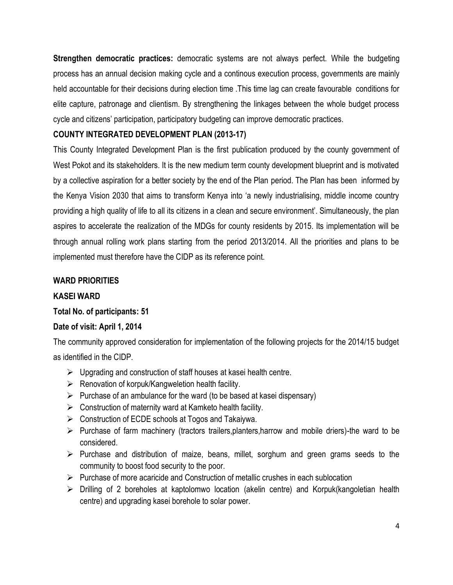**Strengthen democratic practices:** democratic systems are not always perfect. While the budgeting process has an annual decision making cycle and a continous execution process, governments are mainly held accountable for their decisions during election time .This time lag can create favourable conditions for elite capture, patronage and clientism. By strengthening the linkages between the whole budget process cycle and citizens' participation, participatory budgeting can improve democratic practices.

## **COUNTY INTEGRATED DEVELOPMENT PLAN (2013-17)**

This County Integrated Development Plan is the first publication produced by the county government of West Pokot and its stakeholders. It is the new medium term county development blueprint and is motivated by a collective aspiration for a better society by the end of the Plan period. The Plan has been informed by the Kenya Vision 2030 that aims to transform Kenya into 'a newly industrialising, middle income country providing a high quality of life to all its citizens in a clean and secure environment'. Simultaneously, the plan aspires to accelerate the realization of the MDGs for county residents by 2015. Its implementation will be through annual rolling work plans starting from the period 2013/2014. All the priorities and plans to be implemented must therefore have the CIDP as its reference point.

#### **WARD PRIORITIES**

## **KASEI WARD**

#### **Total No. of participants: 51**

## **Date of visit: April 1, 2014**

The community approved consideration for implementation of the following projects for the 2014/15 budget as identified in the CIDP.

- $\triangleright$  Upgrading and construction of staff houses at kasei health centre.
- $\triangleright$  Renovation of korpuk/Kangweletion health facility.
- $\triangleright$  Purchase of an ambulance for the ward (to be based at kasei dispensary)
- $\triangleright$  Construction of maternity ward at Kamketo health facility.
- $\triangleright$  Construction of ECDE schools at Togos and Takaiywa.
- $\triangleright$  Purchase of farm machinery (tractors trailers, planters, harrow and mobile driers)-the ward to be considered.
- $\triangleright$  Purchase and distribution of maize, beans, millet, sorghum and green grams seeds to the community to boost food security to the poor.
- $\triangleright$  Purchase of more acaricide and Construction of metallic crushes in each sublocation
- $\triangleright$  Drilling of 2 boreholes at kaptolomwo location (akelin centre) and Korpuk(kangoletian health centre) and upgrading kasei borehole to solar power.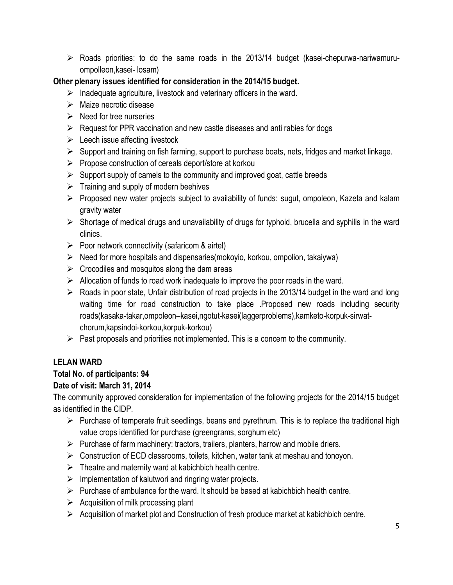$\triangleright$  Roads priorities: to do the same roads in the 2013/14 budget (kasei-chepurwa-nariwamuruompolleon,kasei- losam)

## **Other plenary issues identified for consideration in the 2014/15 budget.**

- $\triangleright$  Inadequate agriculture, livestock and veterinary officers in the ward.
- $\triangleright$  Maize necrotic disease
- $\triangleright$  Need for tree nurseries
- $\triangleright$  Request for PPR vaccination and new castle diseases and anti rabies for dogs
- $\triangleright$  Leech issue affecting livestock
- $\triangleright$  Support and training on fish farming, support to purchase boats, nets, fridges and market linkage.
- $\triangleright$  Propose construction of cereals deport/store at korkou
- $\triangleright$  Support supply of camels to the community and improved goat, cattle breeds
- $\triangleright$  Training and supply of modern beehives
- $\triangleright$  Proposed new water projects subject to availability of funds: sugut, ompoleon, Kazeta and kalam gravity water
- $\triangleright$  Shortage of medical drugs and unavailability of drugs for typhoid, brucella and syphilis in the ward clinics.
- $\triangleright$  Poor network connectivity (safaricom & airtel)
- $\triangleright$  Need for more hospitals and dispensaries(mokoyio, korkou, ompolion, takaiywa)
- $\triangleright$  Crocodiles and mosquitos along the dam areas
- $\triangleright$  Allocation of funds to road work inadequate to improve the poor roads in the ward.
- $\triangleright$  Roads in poor state, Unfair distribution of road projects in the 2013/14 budget in the ward and long waiting time for road construction to take place .Proposed new roads including security roads(kasaka-takar,ompoleon–kasei,ngotut-kasei(laggerproblems),kamketo-korpuk-sirwatchorum,kapsindoi-korkou,korpuk-korkou)
- $\triangleright$  Past proposals and priorities not implemented. This is a concern to the community.

## **LELAN WARD**

## **Total No. of participants: 94**

## **Date of visit: March 31, 2014**

The community approved consideration for implementation of the following projects for the 2014/15 budget as identified in the CIDP.

- $\triangleright$  Purchase of temperate fruit seedlings, beans and pyrethrum. This is to replace the traditional high value crops identified for purchase (greengrams, sorghum etc)
- $\triangleright$  Purchase of farm machinery: tractors, trailers, planters, harrow and mobile driers.
- $\triangleright$  Construction of ECD classrooms, toilets, kitchen, water tank at meshau and tonoyon.
- $\triangleright$  Theatre and maternity ward at kabichbich health centre.
- $\triangleright$  Implementation of kalutwori and ringring water projects.
- $\triangleright$  Purchase of ambulance for the ward. It should be based at kabichbich health centre.
- $\triangleright$  Acquisition of milk processing plant
- $\triangleright$  Acquisition of market plot and Construction of fresh produce market at kabichbich centre.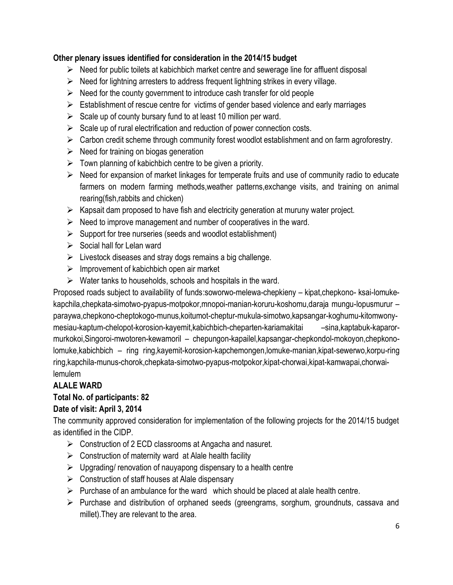- $\triangleright$  Need for public toilets at kabichbich market centre and sewerage line for affluent disposal
- $\triangleright$  Need for lightning arresters to address frequent lightning strikes in every village.
- $\triangleright$  Need for the county government to introduce cash transfer for old people
- $\triangleright$  Establishment of rescue centre for victims of gender based violence and early marriages
- $\triangleright$  Scale up of county bursary fund to at least 10 million per ward.
- $\triangleright$  Scale up of rural electrification and reduction of power connection costs.
- $\triangleright$  Carbon credit scheme through community forest woodlot establishment and on farm agroforestry.
- $\triangleright$  Need for training on biogas generation
- $\triangleright$  Town planning of kabichbich centre to be given a priority.
- $\triangleright$  Need for expansion of market linkages for temperate fruits and use of community radio to educate farmers on modern farming methods,weather patterns,exchange visits, and training on animal rearing(fish,rabbits and chicken)
- $\triangleright$  Kapsait dam proposed to have fish and electricity generation at muruny water project.
- $\triangleright$  Need to improve management and number of cooperatives in the ward.
- $\triangleright$  Support for tree nurseries (seeds and woodlot establishment)
- $\triangleright$  Social hall for Lelan ward
- $\triangleright$  Livestock diseases and stray dogs remains a big challenge.
- $\triangleright$  Improvement of kabichbich open air market
- $\triangleright$  Water tanks to households, schools and hospitals in the ward.

Proposed roads subject to availability of funds:soworwo-melewa-chepkieny – kipat,chepkono- ksai-lomukekapchila,chepkata-simotwo-pyapus-motpokor,mnopoi-manian-koruru-koshomu,daraja mungu-lopusmurur – paraywa,chepkono-cheptokogo-munus,koitumot-cheptur-mukula-simotwo,kapsangar-koghumu-kitomwonymesiau-kaptum-chelopot-korosion-kayemit,kabichbich-cheparten-kariamakitai – sina,kaptabuk-kaparormurkokoi,Singoroi-mwotoren-kewamoril – chepungon-kapailel,kapsangar-chepkondol-mokoyon,chepkonolomuke,kabichbich – ring ring,kayemit-korosion-kapchemongen,lomuke-manian,kipat-sewerwo,korpu-ring ring,kapchila-munus-chorok,chepkata-simotwo-pyapus-motpokor,kipat-chorwai,kipat-kamwapai,chorwailemulem

## **ALALE WARD**

## **Total No. of participants: 82**

## **Date of visit: April 3, 2014**

The community approved consideration for implementation of the following projects for the 2014/15 budget as identified in the CIDP.

- $\triangleright$  Construction of 2 ECD classrooms at Angacha and nasuret.
- $\triangleright$  Construction of maternity ward at Alale health facility
- $\triangleright$  Upgrading/ renovation of nauyapong dispensary to a health centre
- $\triangleright$  Construction of staff houses at Alale dispensary
- $\triangleright$  Purchase of an ambulance for the ward which should be placed at alale health centre.
- $\triangleright$  Purchase and distribution of orphaned seeds (greengrams, sorghum, groundnuts, cassava and millet).They are relevant to the area.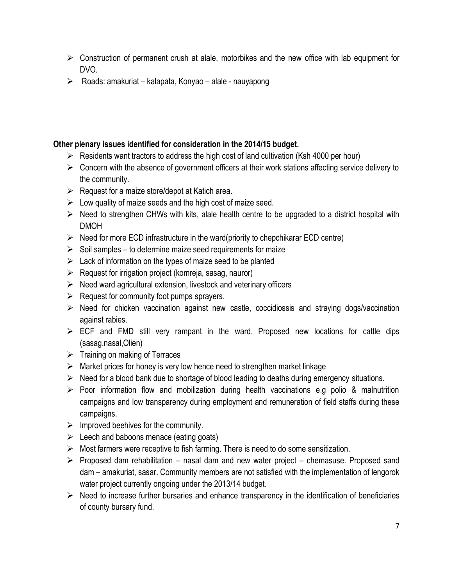- $\triangleright$  Construction of permanent crush at alale, motorbikes and the new office with lab equipment for DVO.
- $\triangleright$  Roads: amakuriat kalapata, Konyao alale nauyapong

- $\triangleright$  Residents want tractors to address the high cost of land cultivation (Ksh 4000 per hour)
- $\triangleright$  Concern with the absence of government officers at their work stations affecting service delivery to the community.
- $\triangleright$  Request for a maize store/depot at Katich area.
- $\triangleright$  Low quality of maize seeds and the high cost of maize seed.
- $\triangleright$  Need to strengthen CHWs with kits, alale health centre to be upgraded to a district hospital with DMOH
- $\triangleright$  Need for more ECD infrastructure in the ward(priority to chepchikarar ECD centre)
- $\triangleright$  Soil samples to determine maize seed requirements for maize
- $\triangleright$  Lack of information on the types of maize seed to be planted
- $\triangleright$  Request for irrigation project (komreja, sasag, nauror)
- $\triangleright$  Need ward agricultural extension, livestock and veterinary officers
- $\triangleright$  Request for community foot pumps sprayers.
- $\triangleright$  Need for chicken vaccination against new castle, coccidiossis and straying dogs/vaccination against rabies.
- $\triangleright$  ECF and FMD still very rampant in the ward. Proposed new locations for cattle dips (sasag,nasal,Olien)
- $\triangleright$  Training on making of Terraces
- $\triangleright$  Market prices for honey is very low hence need to strengthen market linkage
- $\triangleright$  Need for a blood bank due to shortage of blood leading to deaths during emergency situations.
- $\triangleright$  Poor information flow and mobilization during health vaccinations e.g polio & malnutrition campaigns and low transparency during employment and remuneration of field staffs during these campaigns.
- $\triangleright$  Improved beehives for the community.
- $\triangleright$  Leech and baboons menace (eating goats)
- $\triangleright$  Most farmers were receptive to fish farming. There is need to do some sensitization.
- $\triangleright$  Proposed dam rehabilitation nasal dam and new water project chemasuse. Proposed sand dam – amakuriat, sasar. Community members are not satisfied with the implementation of lengorok water project currently ongoing under the 2013/14 budget.
- $\triangleright$  Need to increase further bursaries and enhance transparency in the identification of beneficiaries of county bursary fund.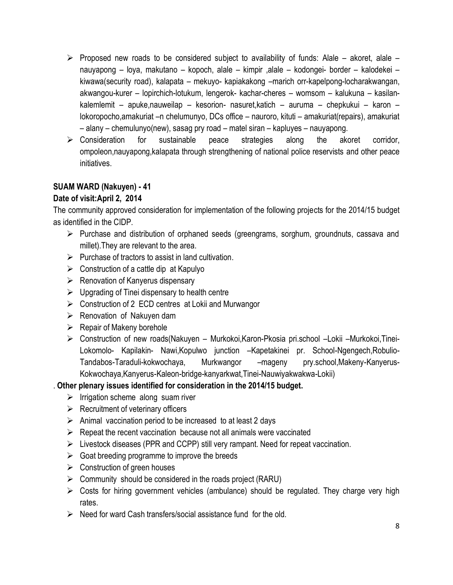- $\triangleright$  Proposed new roads to be considered subject to availability of funds: Alale akoret, alale nauyapong – loya, makutano – kopoch, alale – kimpir ,alale – kodongei- border – kalodekei – kiwawa(security road), kalapata – mekuyo- kapiakakong –marich orr-kapelpong-locharakwangan, akwangou-kurer – lopirchich-lotukum, lengerok- kachar-cheres – womsom – kalukuna – kasilankalemlemit – apuke,nauweilap – kesorion- nasuret,katich – auruma – chepkukui – karon – lokoropocho,amakuriat –n chelumunyo, DCs office – nauroro, kituti – amakuriat(repairs), amakuriat – alany – chemulunyo(new), sasag pry road – matel siran – kapluyes – nauyapong.
- $\triangleright$  Consideration for sustainable peace strategies along the akoret corridor, ompoleon,nauyapong,kalapata through strengthening of national police reservists and other peace initiatives.

## **SUAM WARD (Nakuyen) - 41**

## **Date of visit:April 2, 2014**

The community approved consideration for implementation of the following projects for the 2014/15 budget as identified in the CIDP.

- $\triangleright$  Purchase and distribution of orphaned seeds (greengrams, sorghum, groundnuts, cassava and millet).They are relevant to the area.
- $\triangleright$  Purchase of tractors to assist in land cultivation.
- $\triangleright$  Construction of a cattle dip at Kapulyo
- $\triangleright$  Renovation of Kanyerus dispensary
- $\triangleright$  Upgrading of Tinei dispensary to health centre
- ▶ Construction of 2 ECD centres at Lokii and Murwangor
- $\triangleright$  Renovation of Nakuyen dam
- $\triangleright$  Repair of Makeny borehole
- Construction of new roads(Nakuyen Murkokoi,Karon-Pkosia pri.school –Lokii –Murkokoi,Tinei-Lokomolo- Kapilakin- Nawi,Kopulwo junction –Kapetakinei pr. School-Ngengech,Robulio-Tandabos-Taraduli-kokwochaya, Murkwangor –mageny pry.school,Makeny-Kanyerus-Kokwochaya,Kanyerus-Kaleon-bridge-kanyarkwat,Tinei-Nauwiyakwakwa-Lokii)

- $\triangleright$  Irrigation scheme along suam river
- $\triangleright$  Recruitment of veterinary officers
- $\triangleright$  Animal vaccination period to be increased to at least 2 days
- $\triangleright$  Repeat the recent vaccination because not all animals were vaccinated
- $\triangleright$  Livestock diseases (PPR and CCPP) still very rampant. Need for repeat vaccination.
- $\triangleright$  Goat breeding programme to improve the breeds
- $\triangleright$  Construction of green houses
- $\triangleright$  Community should be considered in the roads project (RARU)
- $\triangleright$  Costs for hiring government vehicles (ambulance) should be regulated. They charge very high rates.
- $\triangleright$  Need for ward Cash transfers/social assistance fund for the old.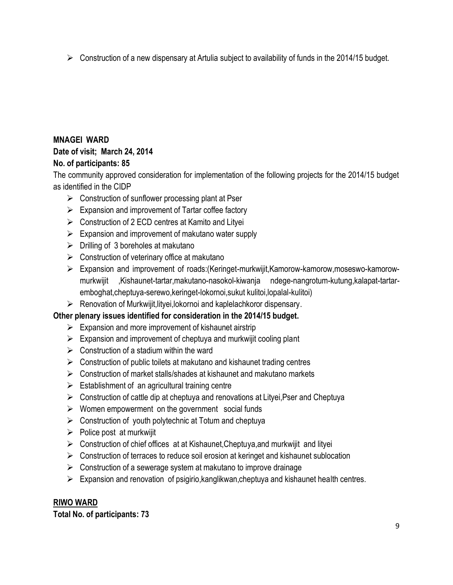$\triangleright$  Construction of a new dispensary at Artulia subject to availability of funds in the 2014/15 budget.

## **MNAGEI WARD**

## **Date of visit; March 24, 2014**

## **No. of participants: 85**

The community approved consideration for implementation of the following projects for the 2014/15 budget as identified in the CIDP

- $\triangleright$  Construction of sunflower processing plant at Pser
- $\triangleright$  Expansion and improvement of Tartar coffee factory
- $\triangleright$  Construction of 2 ECD centres at Kamito and Lityei
- $\triangleright$  Expansion and improvement of makutano water supply
- $\triangleright$  Drilling of 3 boreholes at makutano
- $\triangleright$  Construction of veterinary office at makutano
- Expansion and improvement of roads:(Keringet-murkwijit,Kamorow-kamorow,moseswo-kamorowmurkwijit ,Kishaunet-tartar,makutano-nasokol-kiwanja ndege-nangrotum-kutung,kalapat-tartaremboghat,cheptuya-serewo,keringet-lokornoi,sukut kulitoi,lopalal-kulitoi)
- $\triangleright$  Renovation of Murkwijit, lityei, lokornoi and kaplelachkoror dispensary.

## **Other plenary issues identified for consideration in the 2014/15 budget.**

- $\triangleright$  Expansion and more improvement of kishaunet airstrip
- $\triangleright$  Expansion and improvement of cheptuya and murkwijit cooling plant
- $\triangleright$  Construction of a stadium within the ward
- $\triangleright$  Construction of public toilets at makutano and kishaunet trading centres
- $\triangleright$  Construction of market stalls/shades at kishaunet and makutano markets
- $\triangleright$  Establishment of an agricultural training centre
- $\triangleright$  Construction of cattle dip at cheptuya and renovations at Lityei, Pser and Cheptuya
- $\triangleright$  Women empowerment on the government social funds
- $\triangleright$  Construction of youth polytechnic at Totum and cheptuya
- $\triangleright$  Police post at murkwijit
- $\triangleright$  Construction of chief offices at at Kishaunet, Cheptuya, and murkwijit and lityei
- $\triangleright$  Construction of terraces to reduce soil erosion at keringet and kishaunet sublocation
- $\triangleright$  Construction of a sewerage system at makutano to improve drainage
- $\triangleright$  Expansion and renovation of psigirio, kanglikwan, cheptuya and kishaunet health centres.

## **RIWO WARD**

**Total No. of participants: 73**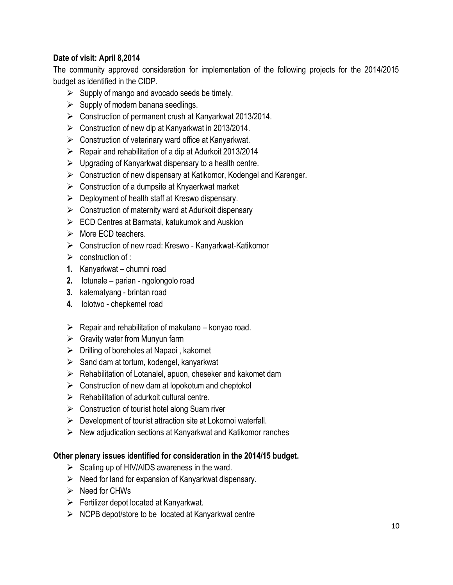## **Date of visit: April 8,2014**

The community approved consideration for implementation of the following projects for the 2014/2015 budget as identified in the CIDP.

- $\triangleright$  Supply of mango and avocado seeds be timely.
- $\triangleright$  Supply of modern banana seedlings.
- Construction of permanent crush at Kanyarkwat 2013/2014.
- Construction of new dip at Kanyarkwat in 2013/2014.
- $\triangleright$  Construction of veterinary ward office at Kanyarkwat.
- $\triangleright$  Repair and rehabilitation of a dip at Adurkoit 2013/2014
- $\triangleright$  Upgrading of Kanyarkwat dispensary to a health centre.
- Construction of new dispensary at Katikomor, Kodengel and Karenger.
- $\triangleright$  Construction of a dumpsite at Knyaerkwat market
- $\triangleright$  Deployment of health staff at Kreswo dispensary.
- $\triangleright$  Construction of maternity ward at Adurkoit dispensary
- $\triangleright$  ECD Centres at Barmatai, katukumok and Auskion
- $\triangleright$  More FCD teachers.
- Construction of new road: Kreswo Kanyarkwat-Katikomor
- $\triangleright$  construction of :
- **1.** Kanyarkwat chumni road
- **2.** lotunale parian ngolongolo road
- **3.** kalematyang brintan road
- **4.** lolotwo chepkemel road
- $\triangleright$  Repair and rehabilitation of makutano konyao road.
- $\triangleright$  Gravity water from Munyun farm
- $\triangleright$  Drilling of boreholes at Napaoi, kakomet
- $\triangleright$  Sand dam at tortum, kodengel, kanyarkwat
- $\triangleright$  Rehabilitation of Lotanalel, apuon, cheseker and kakomet dam
- $\triangleright$  Construction of new dam at lopokotum and cheptokol
- $\triangleright$  Rehabilitation of adurkoit cultural centre.
- $\triangleright$  Construction of tourist hotel along Suam river
- $\triangleright$  Development of tourist attraction site at Lokornoi waterfall.
- $\triangleright$  New adjudication sections at Kanyarkwat and Katikomor ranches

- $\triangleright$  Scaling up of HIV/AIDS awareness in the ward.
- $\triangleright$  Need for land for expansion of Kanyarkwat dispensary.
- $\triangleright$  Need for CHWs
- $\triangleright$  Fertilizer depot located at Kanyarkwat.
- $\triangleright$  NCPB depot/store to be located at Kanyarkwat centre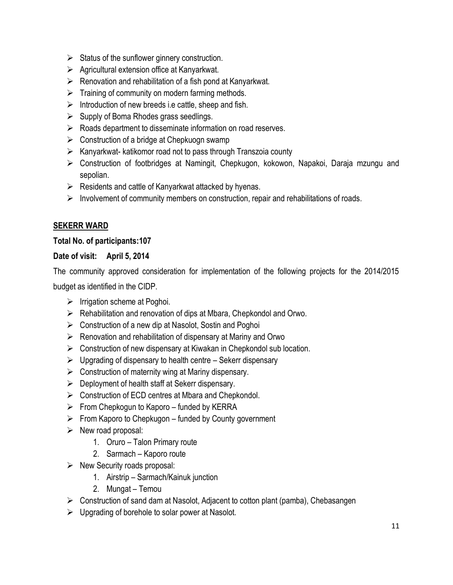- $\triangleright$  Status of the sunflower ginnery construction.
- $\triangleright$  Agricultural extension office at Kanyarkwat.
- $\triangleright$  Renovation and rehabilitation of a fish pond at Kanyarkwat.
- $\triangleright$  Training of community on modern farming methods.
- $\triangleright$  Introduction of new breeds i.e cattle, sheep and fish.
- $\triangleright$  Supply of Boma Rhodes grass seedlings.
- $\triangleright$  Roads department to disseminate information on road reserves.
- $\triangleright$  Construction of a bridge at Chepkuogn swamp
- $\triangleright$  Kanyarkwat- katikomor road not to pass through Transzoia county
- Construction of footbridges at Namingit, Chepkugon, kokowon, Napakoi, Daraja mzungu and sepolian.
- $\triangleright$  Residents and cattle of Kanyarkwat attacked by hyenas.
- $\triangleright$  Involvement of community members on construction, repair and rehabilitations of roads.

#### **SEKERR WARD**

#### **Total No. of participants:107**

#### **Date of visit: April 5, 2014**

The community approved consideration for implementation of the following projects for the 2014/2015 budget as identified in the CIDP.

- $\triangleright$  Irrigation scheme at Poghoi.
- $\triangleright$  Rehabilitation and renovation of dips at Mbara, Chepkondol and Orwo.
- $\triangleright$  Construction of a new dip at Nasolot, Sostin and Poghoi
- $\triangleright$  Renovation and rehabilitation of dispensary at Mariny and Orwo
- $\triangleright$  Construction of new dispensary at Kiwakan in Chepkondol sub location.
- $\triangleright$  Upgrading of dispensary to health centre Sekerr dispensary
- $\triangleright$  Construction of maternity wing at Mariny dispensary.
- $\triangleright$  Deployment of health staff at Sekerr dispensary.
- $\triangleright$  Construction of ECD centres at Mbara and Chepkondol.
- $\triangleright$  From Chepkogun to Kaporo funded by KERRA
- $\triangleright$  From Kaporo to Chepkugon funded by County government
- $\triangleright$  New road proposal:
	- 1. Oruro Talon Primary route
	- 2. Sarmach Kaporo route
- $\triangleright$  New Security roads proposal:
	- 1. Airstrip Sarmach/Kainuk junction
	- 2. Mungat Temou
- $\triangleright$  Construction of sand dam at Nasolot, Adjacent to cotton plant (pamba), Chebasangen
- $\triangleright$  Upgrading of borehole to solar power at Nasolot.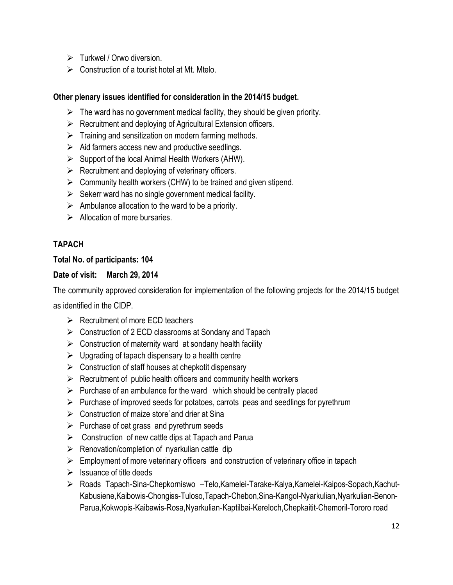- $\triangleright$  Turkwel / Orwo diversion.
- $\triangleright$  Construction of a tourist hotel at Mt. Mtelo.

- $\triangleright$  The ward has no government medical facility, they should be given priority.
- $\triangleright$  Recruitment and deploying of Agricultural Extension officers.
- $\triangleright$  Training and sensitization on modern farming methods.
- $\triangleright$  Aid farmers access new and productive seedlings.
- $\triangleright$  Support of the local Animal Health Workers (AHW).
- $\triangleright$  Recruitment and deploying of veterinary officers.
- $\triangleright$  Community health workers (CHW) to be trained and given stipend.
- $\triangleright$  Sekerr ward has no single government medical facility.
- $\triangleright$  Ambulance allocation to the ward to be a priority.
- $\triangleright$  Allocation of more bursaries.

#### **TAPACH**

#### **Total No. of participants: 104**

#### **Date of visit: March 29, 2014**

The community approved consideration for implementation of the following projects for the 2014/15 budget

as identified in the CIDP.

- $\triangleright$  Recruitment of more ECD teachers
- ▶ Construction of 2 ECD classrooms at Sondany and Tapach
- $\triangleright$  Construction of maternity ward at sondany health facility
- $\triangleright$  Upgrading of tapach dispensary to a health centre
- $\triangleright$  Construction of staff houses at chepkotit dispensary
- $\triangleright$  Recruitment of public health officers and community health workers
- $\triangleright$  Purchase of an ambulance for the ward which should be centrally placed
- $\triangleright$  Purchase of improved seeds for potatoes, carrots peas and seedlings for pyrethrum
- $\triangleright$  Construction of maize store and drier at Sina
- $\triangleright$  Purchase of oat grass and pyrethrum seeds
- $\triangleright$  Construction of new cattle dips at Tapach and Parua
- $\triangleright$  Renovation/completion of nyarkulian cattle dip
- $\triangleright$  Employment of more veterinary officers and construction of veterinary office in tapach
- $\triangleright$  Issuance of title deeds
- Roads Tapach-Sina-Chepkorniswo –Telo,Kamelei-Tarake-Kalya,Kamelei-Kaipos-Sopach,Kachut-Kabusiene,Kaibowis-Chongiss-Tuloso,Tapach-Chebon,Sina-Kangol-Nyarkulian,Nyarkulian-Benon-Parua,Kokwopis-Kaibawis-Rosa,Nyarkulian-Kaptilbai-Kereloch,Chepkaitit-Chemoril-Tororo road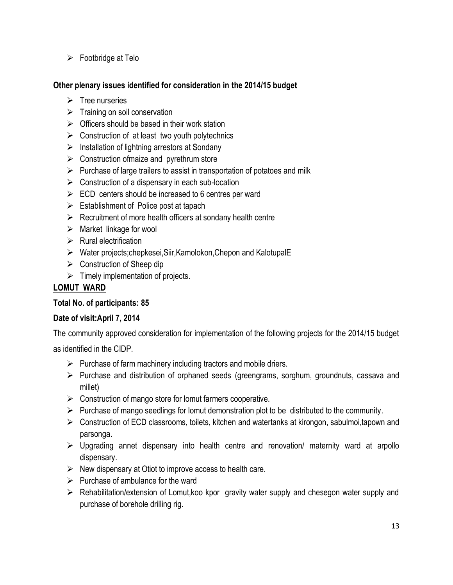$\triangleright$  Footbridge at Telo

#### **Other plenary issues identified for consideration in the 2014/15 budget**

- $\triangleright$  Tree nurseries
- $\triangleright$  Training on soil conservation
- $\triangleright$  Officers should be based in their work station
- $\triangleright$  Construction of at least two youth polytechnics
- $\triangleright$  Installation of lightning arrestors at Sondany
- $\triangleright$  Construction of maize and pyrethrum store
- $\triangleright$  Purchase of large trailers to assist in transportation of potatoes and milk
- $\triangleright$  Construction of a dispensary in each sub-location
- $\triangleright$  ECD centers should be increased to 6 centres per ward
- $\triangleright$  Establishment of Police post at tapach
- $\triangleright$  Recruitment of more health officers at sondany health centre
- $\triangleright$  Market linkage for wool
- $\triangleright$  Rural electrification
- Water projects;chepkesei,Siir,Kamolokon,Chepon and KalotupalE
- $\triangleright$  Construction of Sheep dip
- $\triangleright$  Timely implementation of projects.

## **LOMUT WARD**

#### **Total No. of participants: 85**

#### **Date of visit:April 7, 2014**

The community approved consideration for implementation of the following projects for the 2014/15 budget

as identified in the CIDP.

- $\triangleright$  Purchase of farm machinery including tractors and mobile driers.
- $\triangleright$  Purchase and distribution of orphaned seeds (greengrams, sorghum, groundnuts, cassava and millet)
- $\triangleright$  Construction of mango store for lomut farmers cooperative.
- $\triangleright$  Purchase of mango seedlings for lomut demonstration plot to be distributed to the community.
- $\triangleright$  Construction of ECD classrooms, toilets, kitchen and watertanks at kirongon, sabulmoi, tapown and parsonga.
- $\triangleright$  Upgrading annet dispensary into health centre and renovation/ maternity ward at arpollo dispensary.
- $\triangleright$  New dispensary at Otiot to improve access to health care.
- $\triangleright$  Purchase of ambulance for the ward
- $\triangleright$  Rehabilitation/extension of Lomut, koo kpor gravity water supply and chesegon water supply and purchase of borehole drilling rig.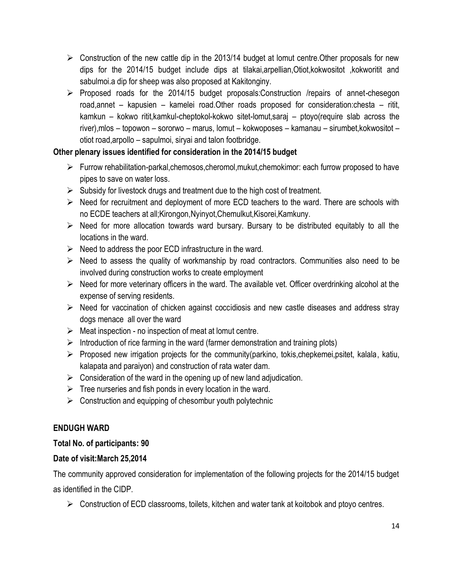- $\triangleright$  Construction of the new cattle dip in the 2013/14 budget at lomut centre. Other proposals for new dips for the 2014/15 budget include dips at tilakai,arpellian,Otiot,kokwositot ,kokworitit and sabulmoi.a dip for sheep was also proposed at Kakitonginy.
- $\triangleright$  Proposed roads for the 2014/15 budget proposals: Construction /repairs of annet-chesegon road,annet – kapusien – kamelei road.Other roads proposed for consideration:chesta – ritit, kamkun – kokwo ritit,kamkul-cheptokol-kokwo sitet-lomut,saraj – ptoyo(require slab across the river),mlos – topowon – sororwo – marus, lomut – kokwoposes – kamanau – sirumbet,kokwositot – otiot road,arpollo – sapulmoi, siryai and talon footbridge.

- $\triangleright$  Furrow rehabilitation-parkal, chemosos, cheromol, mukut, chemokimor: each furrow proposed to have pipes to save on water loss.
- $\triangleright$  Subsidy for livestock drugs and treatment due to the high cost of treatment.
- $\triangleright$  Need for recruitment and deployment of more ECD teachers to the ward. There are schools with no ECDE teachers at all;Kirongon,Nyinyot,Chemulkut,Kisorei,Kamkuny.
- $\triangleright$  Need for more allocation towards ward bursary. Bursary to be distributed equitably to all the locations in the ward.
- $\triangleright$  Need to address the poor ECD infrastructure in the ward.
- $\triangleright$  Need to assess the quality of workmanship by road contractors. Communities also need to be involved during construction works to create employment
- $\triangleright$  Need for more veterinary officers in the ward. The available vet. Officer overdrinking alcohol at the expense of serving residents.
- $\triangleright$  Need for vaccination of chicken against coccidiosis and new castle diseases and address stray dogs menace all over the ward
- $\triangleright$  Meat inspection no inspection of meat at lomut centre.
- $\triangleright$  Introduction of rice farming in the ward (farmer demonstration and training plots)
- $\triangleright$  Proposed new irrigation projects for the community(parkino, tokis, chepkemei, psitet, kalala, katiu, kalapata and paraiyon) and construction of rata water dam.
- $\triangleright$  Consideration of the ward in the opening up of new land adjudication.
- $\triangleright$  Tree nurseries and fish ponds in every location in the ward.
- $\triangleright$  Construction and equipping of chesombur youth polytechnic

## **ENDUGH WARD**

## **Total No. of participants: 90**

## **Date of visit:March 25,2014**

The community approved consideration for implementation of the following projects for the 2014/15 budget as identified in the CIDP.

 $\triangleright$  Construction of ECD classrooms, toilets, kitchen and water tank at koitobok and ptoyo centres.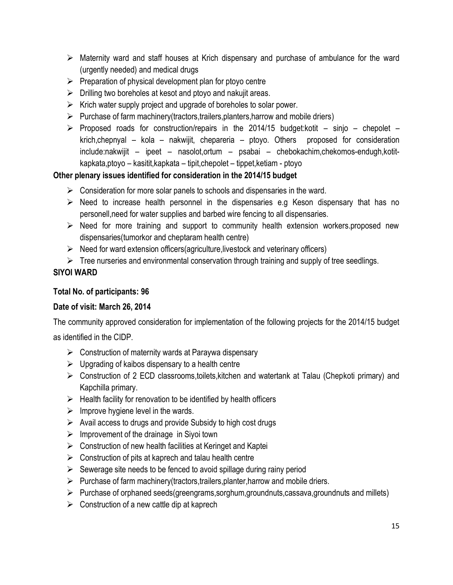- $\triangleright$  Maternity ward and staff houses at Krich dispensary and purchase of ambulance for the ward (urgently needed) and medical drugs
- $\triangleright$  Preparation of physical development plan for ptoyo centre
- $\triangleright$  Drilling two boreholes at kesot and ptoyo and nakujit areas.
- $\triangleright$  Krich water supply project and upgrade of boreholes to solar power.
- $\triangleright$  Purchase of farm machinery(tractors,trailers,planters, harrow and mobile driers)
- $\triangleright$  Proposed roads for construction/repairs in the 2014/15 budget: kotit sinjo chepolet krich,chepnyal – kola – nakwijit, chepareria – ptoyo. Others proposed for consideration include:nakwijit – ipeet – nasolot,ortum – psabai – chebokachim,chekomos-endugh,kotitkapkata,ptoyo – kasitit,kapkata – tipit,chepolet – tippet,ketiam - ptoyo

- $\triangleright$  Consideration for more solar panels to schools and dispensaries in the ward.
- $\triangleright$  Need to increase health personnel in the dispensaries e.g Keson dispensary that has no personell,need for water supplies and barbed wire fencing to all dispensaries.
- $\triangleright$  Need for more training and support to community health extension workers.proposed new dispensaries(tumorkor and cheptaram health centre)
- $\triangleright$  Need for ward extension officers(agriculture, livestock and veterinary officers)
- $\triangleright$  Tree nurseries and environmental conservation through training and supply of tree seedlings.

## **SIYOI WARD**

## **Total No. of participants: 96**

#### **Date of visit: March 26, 2014**

The community approved consideration for implementation of the following projects for the 2014/15 budget

as identified in the CIDP.

- $\triangleright$  Construction of maternity wards at Paraywa dispensary
- $\triangleright$  Upgrading of kaibos dispensary to a health centre
- $\triangleright$  Construction of 2 ECD classrooms,toilets, kitchen and watertank at Talau (Chepkoti primary) and Kapchilla primary.
- $\triangleright$  Health facility for renovation to be identified by health officers
- $\triangleright$  Improve hygiene level in the wards.
- $\triangleright$  Avail access to drugs and provide Subsidy to high cost drugs
- $\triangleright$  Improvement of the drainage in Siyoi town
- $\triangleright$  Construction of new health facilities at Keringet and Kaptei
- $\triangleright$  Construction of pits at kaprech and talau health centre
- $\triangleright$  Sewerage site needs to be fenced to avoid spillage during rainy period
- $\triangleright$  Purchase of farm machinery(tractors,trailers,planter, harrow and mobile driers.
- $\triangleright$  Purchase of orphaned seeds(greengrams, sorghum, groundnuts, cassava, groundnuts and millets)
- $\triangleright$  Construction of a new cattle dip at kaprech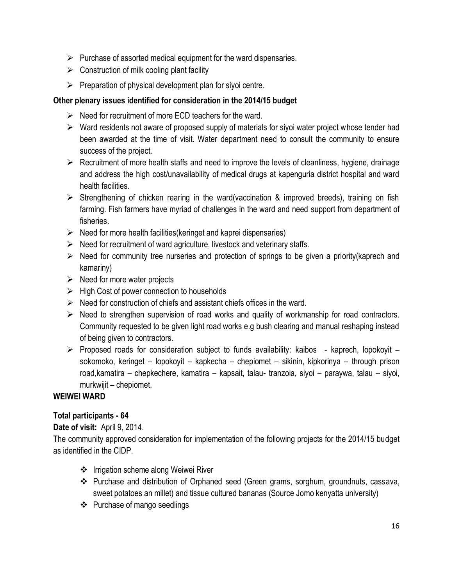- $\triangleright$  Purchase of assorted medical equipment for the ward dispensaries.
- $\triangleright$  Construction of milk cooling plant facility
- $\triangleright$  Preparation of physical development plan for siyoi centre.

- $\triangleright$  Need for recruitment of more ECD teachers for the ward.
- $\triangleright$  Ward residents not aware of proposed supply of materials for siyoi water project whose tender had been awarded at the time of visit. Water department need to consult the community to ensure success of the project.
- $\triangleright$  Recruitment of more health staffs and need to improve the levels of cleanliness, hygiene, drainage and address the high cost/unavailability of medical drugs at kapenguria district hospital and ward health facilities.
- $\triangleright$  Strengthening of chicken rearing in the ward(vaccination & improved breeds), training on fish farming. Fish farmers have myriad of challenges in the ward and need support from department of fisheries.
- $\triangleright$  Need for more health facilities(keringet and kaprei dispensaries)
- $\triangleright$  Need for recruitment of ward agriculture, livestock and veterinary staffs.
- $\triangleright$  Need for community tree nurseries and protection of springs to be given a priority(kaprech and kamariny)
- $\triangleright$  Need for more water projects
- $\triangleright$  High Cost of power connection to households
- $\triangleright$  Need for construction of chiefs and assistant chiefs offices in the ward.
- $\triangleright$  Need to strengthen supervision of road works and quality of workmanship for road contractors. Community requested to be given light road works e.g bush clearing and manual reshaping instead of being given to contractors.
- $\triangleright$  Proposed roads for consideration subject to funds availability: kaibos kaprech, lopokoyit sokomoko, keringet – lopokoyit – kapkecha – chepiomet – sikinin, kipkorinya – through prison road,kamatira – chepkechere, kamatira – kapsait, talau- tranzoia, siyoi – paraywa, talau – siyoi, murkwijit – chepiomet.

#### **WEIWEI WARD**

#### **Total participants - 64**

#### **Date of visit:** April 9, 2014.

The community approved consideration for implementation of the following projects for the 2014/15 budget as identified in the CIDP.

- ❖ Irrigation scheme along Weiwei River
- Purchase and distribution of Orphaned seed (Green grams, sorghum, groundnuts, cassava, sweet potatoes an millet) and tissue cultured bananas (Source Jomo kenyatta university)
- ❖ Purchase of mango seedlings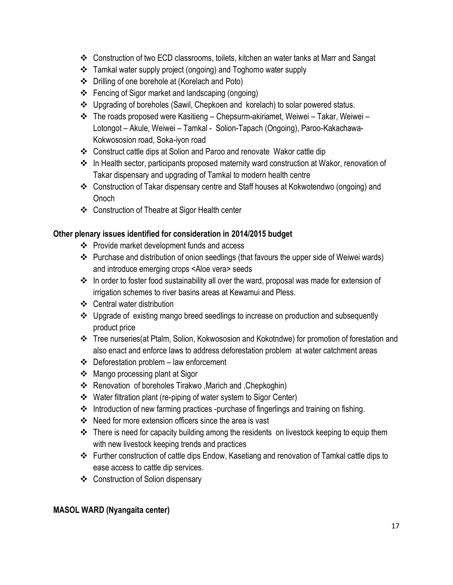- Construction of two ECD classrooms, toilets, kitchen an water tanks at Marr and Sangat
- Tamkal water supply project (ongoing) and Toghomo water supply
- Drilling of one borehole at (Korelach and Poto)
- Fencing of Sigor market and landscaping (ongoing)
- Upgrading of boreholes (Sawil, Chepkoen and korelach) to solar powered status.
- The roads proposed were Kasitieng Chepsurm-akiriamet, Weiwei Takar, Weiwei Lotongot – Akule, Weiwei – Tamkal - Solion-Tapach (Ongoing), Paroo-Kakachawa-Kokwososion road, Soka-iyon road
- Construct cattle dips at Solion and Paroo and renovate Wakor cattle dip
- In Health sector, participants proposed maternity ward construction at Wakor, renovation of Takar dispensary and upgrading of Tamkal to modern health centre
- Construction of Takar dispensary centre and Staff houses at Kokwotendwo (ongoing) and **Onoch**
- Construction of Theatre at Sigor Health center

- Provide market development funds and access
- Purchase and distribution of onion seedlings (that favours the upper side of Weiwei wards) and introduce emerging crops <Aloe vera> seeds
- \* In order to foster food sustainability all over the ward, proposal was made for extension of irrigation schemes to river basins areas at Kewamui and Pless.
- Central water distribution
- Upgrade of existing mango breed seedlings to increase on production and subsequently product price
- Tree nurseries(at Ptalm, Solion, Kokwososion and Kokotndwe) for promotion of forestation and also enact and enforce laws to address deforestation problem at water catchment areas
- $\div$  Deforestation problem law enforcement
- Mango processing plant at Sigor
- Renovation of boreholes Tirakwo ,Marich and ,Chepkoghin)
- Water filtration plant (re-piping of water system to Sigor Center)
- \* Introduction of new farming practices -purchase of fingerlings and training on fishing.
- Need for more extension officers since the area is vast
- There is need for capacity building among the residents on livestock keeping to equip them with new livestock keeping trends and practices
- Further construction of cattle dips Endow, Kasetiang and renovation of Tamkal cattle dips to ease access to cattle dip services.
- Construction of Solion dispensary

## **MASOL WARD (Nyangaita center)**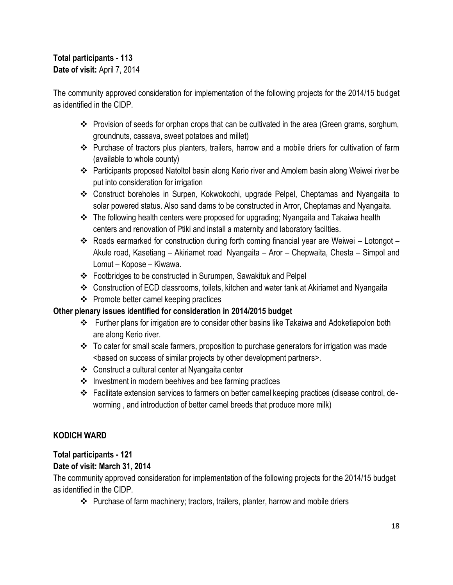## **Total participants - 113 Date of visit:** April 7, 2014

The community approved consideration for implementation of the following projects for the 2014/15 budget as identified in the CIDP.

- Provision of seeds for orphan crops that can be cultivated in the area (Green grams, sorghum, groundnuts, cassava, sweet potatoes and millet)
- Purchase of tractors plus planters, trailers, harrow and a mobile driers for cultivation of farm (available to whole county)
- Participants proposed Natoltol basin along Kerio river and Amolem basin along Weiwei river be put into consideration for irrigation
- Construct boreholes in Surpen, Kokwokochi, upgrade Pelpel, Cheptamas and Nyangaita to solar powered status. Also sand dams to be constructed in Arror, Cheptamas and Nyangaita.
- The following health centers were proposed for upgrading; Nyangaita and Takaiwa health centers and renovation of Ptiki and install a maternity and laboratory facilties.
- $\cdot$  Roads earmarked for construction during forth coming financial year are Weiwei Lotongot Akule road, Kasetiang – Akiriamet road Nyangaita – Aror – Chepwaita, Chesta – Simpol and Lomut – Kopose – Kiwawa.
- Footbridges to be constructed in Surumpen, Sawakituk and Pelpel
- Construction of ECD classrooms, toilets, kitchen and water tank at Akiriamet and Nyangaita
- $\div$  Promote better camel keeping practices

## **Other plenary issues identified for consideration in 2014/2015 budget**

- Further plans for irrigation are to consider other basins like Takaiwa and Adoketiapolon both are along Kerio river.
- $\div$  To cater for small scale farmers, proposition to purchase generators for irrigation was made <based on success of similar projects by other development partners>.
- Construct a cultural center at Nyangaita center
- $\cdot \cdot$  Investment in modern beehives and bee farming practices
- Facilitate extension services to farmers on better camel keeping practices (disease control, deworming , and introduction of better camel breeds that produce more milk)

## **KODICH WARD**

## **Total participants - 121**

## **Date of visit: March 31, 2014**

The community approved consideration for implementation of the following projects for the 2014/15 budget as identified in the CIDP.

Purchase of farm machinery; tractors, trailers, planter, harrow and mobile driers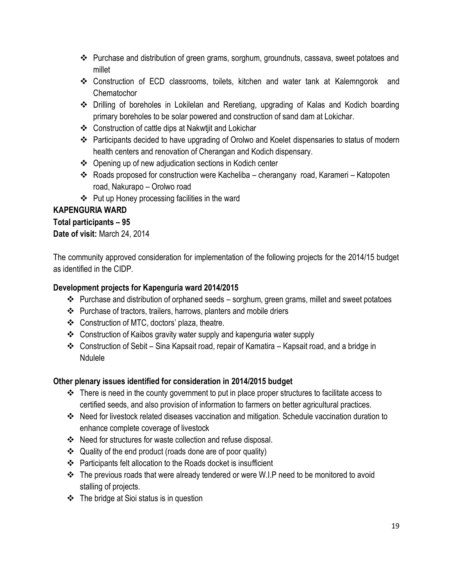- Purchase and distribution of green grams, sorghum, groundnuts, cassava, sweet potatoes and millet
- Construction of ECD classrooms, toilets, kitchen and water tank at Kalemngorok and **Chematochor**
- Drilling of boreholes in Lokilelan and Reretiang, upgrading of Kalas and Kodich boarding primary boreholes to be solar powered and construction of sand dam at Lokichar.
- Construction of cattle dips at Nakwtjit and Lokichar
- Participants decided to have upgrading of Orolwo and Koelet dispensaries to status of modern health centers and renovation of Cherangan and Kodich dispensary.
- Opening up of new adjudication sections in Kodich center
- Roads proposed for construction were Kacheliba cherangany road, Karameri Katopoten road, Nakurapo – Orolwo road
- Put up Honey processing facilities in the ward

## **KAPENGURIA WARD**

## **Total participants – 95**

## **Date of visit:** March 24, 2014

The community approved consideration for implementation of the following projects for the 2014/15 budget as identified in the CIDP.

## **Development projects for Kapenguria ward 2014/2015**

- \* Purchase and distribution of orphaned seeds sorghum, green grams, millet and sweet potatoes
- Purchase of tractors, trailers, harrows, planters and mobile driers
- Construction of MTC, doctors' plaza, theatre.
- Construction of Kaibos gravity water supply and kapenguria water supply
- Construction of Sebit Sina Kapsait road, repair of Kamatira Kapsait road, and a bridge in Ndulele

- $\cdot$  There is need in the county government to put in place proper structures to facilitate access to certified seeds, and also provision of information to farmers on better agricultural practices.
- Need for livestock related diseases vaccination and mitigation. Schedule vaccination duration to enhance complete coverage of livestock
- Need for structures for waste collection and refuse disposal.
- Quality of the end product (roads done are of poor quality)
- Participants felt allocation to the Roads docket is insufficient
- \* The previous roads that were already tendered or were W.I.P need to be monitored to avoid stalling of projects.
- The bridge at Sioi status is in question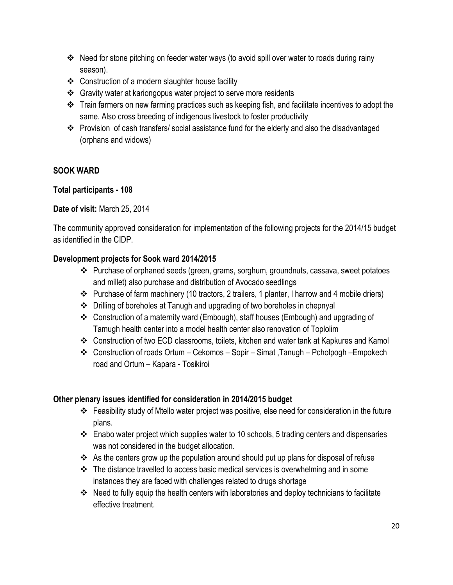- \* Need for stone pitching on feeder water ways (to avoid spill over water to roads during rainy season).
- Construction of a modern slaughter house facility
- Gravity water at kariongopus water project to serve more residents
- \* Train farmers on new farming practices such as keeping fish, and facilitate incentives to adopt the same. Also cross breeding of indigenous livestock to foster productivity
- Provision of cash transfers/ social assistance fund for the elderly and also the disadvantaged (orphans and widows)

## **SOOK WARD**

## **Total participants - 108**

## **Date of visit:** March 25, 2014

The community approved consideration for implementation of the following projects for the 2014/15 budget as identified in the CIDP.

## **Development projects for Sook ward 2014/2015**

- $\div$  Purchase of orphaned seeds (green, grams, sorghum, groundnuts, cassava, sweet potatoes and millet) also purchase and distribution of Avocado seedlings
- $\div$  Purchase of farm machinery (10 tractors, 2 trailers, 1 planter, I harrow and 4 mobile driers)
- Drilling of boreholes at Tanugh and upgrading of two boreholes in chepnyal
- Construction of a maternity ward (Embough), staff houses (Embough) and upgrading of Tamugh health center into a model health center also renovation of Toplolim
- Construction of two ECD classrooms, toilets, kitchen and water tank at Kapkures and Kamol
- Construction of roads Ortum Cekomos Sopir Simat ,Tanugh Pcholpogh –Empokech road and Ortum – Kapara - Tosikiroi

- Feasibility study of Mtello water project was positive, else need for consideration in the future plans.
- $\cdot \cdot$  Enabo water project which supplies water to 10 schools, 5 trading centers and dispensaries was not considered in the budget allocation.
- As the centers grow up the population around should put up plans for disposal of refuse
- $\div$  The distance travelled to access basic medical services is overwhelming and in some instances they are faced with challenges related to drugs shortage
- \* Need to fully equip the health centers with laboratories and deploy technicians to facilitate effective treatment.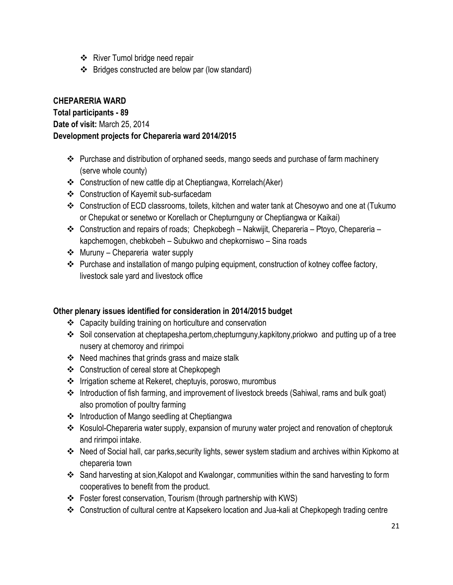- River Tumol bridge need repair
- Bridges constructed are below par (low standard)

## **CHEPARERIA WARD**

**Total participants - 89**

**Date of visit:** March 25, 2014

## **Development projects for Chepareria ward 2014/2015**

- \* Purchase and distribution of orphaned seeds, mango seeds and purchase of farm machinery (serve whole county)
- Construction of new cattle dip at Cheptiangwa, Korrelach(Aker)
- Construction of Kayemit sub-surfacedam
- Construction of ECD classrooms, toilets, kitchen and water tank at Chesoywo and one at (Tukumo or Chepukat or senetwo or Korellach or Chepturnguny or Cheptiangwa or Kaikai)
- Construction and repairs of roads; Chepkobegh Nakwijit, Chepareria Ptoyo, Chepareria kapchemogen, chebkobeh – Subukwo and chepkorniswo – Sina roads
- $\triangleleft$  Muruny Chepareria water supply
- \* Purchase and installation of mango pulping equipment, construction of kotney coffee factory, livestock sale yard and livestock office

- Capacity building training on horticulture and conservation
- Soil conservation at cheptapesha,pertom,chepturnguny,kapkitony,priokwo and putting up of a tree nusery at chemoroy and ririmpoi
- $\div$  Need machines that grinds grass and maize stalk
- Construction of cereal store at Chepkopegh
- ❖ Irrigation scheme at Rekeret, cheptuyis, poroswo, murombus
- Introduction of fish farming, and improvement of livestock breeds (Sahiwal, rams and bulk goat) also promotion of poultry farming
- Introduction of Mango seedling at Cheptiangwa
- \* Kosulol-Chepareria water supply, expansion of muruny water project and renovation of cheptoruk and ririmpoi intake.
- \* Need of Social hall, car parks, security lights, sewer system stadium and archives within Kipkomo at chepareria town
- Sand harvesting at sion,Kalopot and Kwalongar, communities within the sand harvesting to form cooperatives to benefit from the product.
- \* Foster forest conservation, Tourism (through partnership with KWS)
- Construction of cultural centre at Kapsekero location and Jua-kali at Chepkopegh trading centre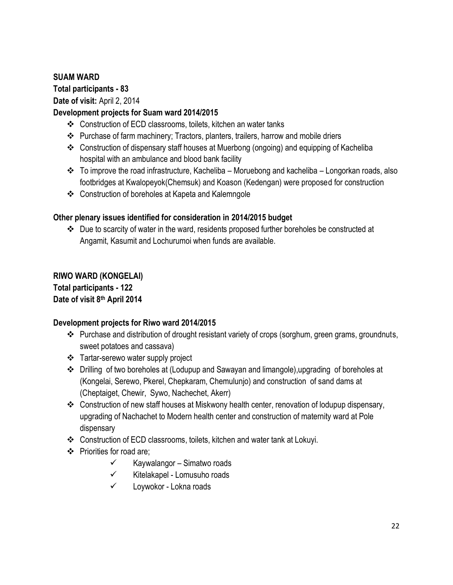## **SUAM WARD**

**Total participants - 83**

**Date of visit:** April 2, 2014

## **Development projects for Suam ward 2014/2015**

- Construction of ECD classrooms, toilets, kitchen an water tanks
- \* Purchase of farm machinery; Tractors, planters, trailers, harrow and mobile driers
- Construction of dispensary staff houses at Muerbong (ongoing) and equipping of Kacheliba hospital with an ambulance and blood bank facility
- $\cdot \cdot$  To improve the road infrastructure, Kacheliba Moruebong and kacheliba Longorkan roads, also footbridges at Kwalopeyok(Chemsuk) and Koason (Kedengan) were proposed for construction
- Construction of boreholes at Kapeta and Kalemngole

#### **Other plenary issues identified for consideration in 2014/2015 budget**

 Due to scarcity of water in the ward, residents proposed further boreholes be constructed at Angamit, Kasumit and Lochurumoi when funds are available.

## **RIWO WARD (KONGELAI)**

**Total participants - 122 Date of visit 8th April 2014** 

#### **Development projects for Riwo ward 2014/2015**

- \* Purchase and distribution of drought resistant variety of crops (sorghum, green grams, groundnuts, sweet potatoes and cassava)
- Tartar-serewo water supply project
- Drilling of two boreholes at (Lodupup and Sawayan and limangole),upgrading of boreholes at (Kongelai, Serewo, Pkerel, Chepkaram, Chemulunjo) and construction of sand dams at (Cheptaiget, Chewir, Sywo, Nachechet, Akerr)
- Construction of new staff houses at Miskwony health center, renovation of lodupup dispensary, upgrading of Nachachet to Modern health center and construction of maternity ward at Pole dispensary
- Construction of ECD classrooms, toilets, kitchen and water tank at Lokuyi.
- ❖ Priorities for road are;
	- $\checkmark$  Kaywalangor Simatwo roads
	- $\checkmark$  Kitelakapel Lomusuho roads
	- $\checkmark$  Loywokor Lokna roads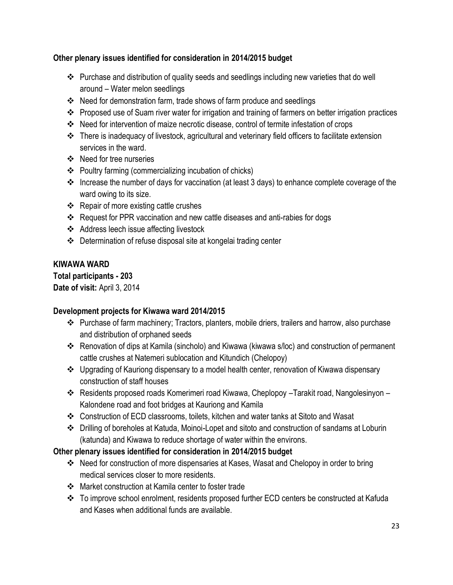- \* Purchase and distribution of quality seeds and seedlings including new varieties that do well around – Water melon seedlings
- Need for demonstration farm, trade shows of farm produce and seedlings
- Proposed use of Suam river water for irrigation and training of farmers on better irrigation practices
- Need for intervention of maize necrotic disease, control of termite infestation of crops
- There is inadequacy of livestock, agricultural and veterinary field officers to facilitate extension services in the ward.
- ❖ Need for tree nurseries
- Poultry farming (commercializing incubation of chicks)
- \* Increase the number of days for vaccination (at least 3 days) to enhance complete coverage of the ward owing to its size.
- $\div$  Repair of more existing cattle crushes
- \* Request for PPR vaccination and new cattle diseases and anti-rabies for dogs
- Address leech issue affecting livestock
- Determination of refuse disposal site at kongelai trading center

## **KIWAWA WARD**

**Total participants - 203 Date of visit:** April 3, 2014

## **Development projects for Kiwawa ward 2014/2015**

- \* Purchase of farm machinery; Tractors, planters, mobile driers, trailers and harrow, also purchase and distribution of orphaned seeds
- Renovation of dips at Kamila (sincholo) and Kiwawa (kiwawa s/loc) and construction of permanent cattle crushes at Natemeri sublocation and Kitundich (Chelopoy)
- Upgrading of Kauriong dispensary to a model health center, renovation of Kiwawa dispensary construction of staff houses
- Residents proposed roads Komerimeri road Kiwawa, Cheplopoy –Tarakit road, Nangolesinyon Kalondene road and foot bridges at Kauriong and Kamila
- Construction of ECD classrooms, toilets, kitchen and water tanks at Sitoto and Wasat
- Drilling of boreholes at Katuda, Moinoi-Lopet and sitoto and construction of sandams at Loburin (katunda) and Kiwawa to reduce shortage of water within the environs.

- Need for construction of more dispensaries at Kases, Wasat and Chelopoy in order to bring medical services closer to more residents.
- Market construction at Kamila center to foster trade
- To improve school enrolment, residents proposed further ECD centers be constructed at Kafuda and Kases when additional funds are available.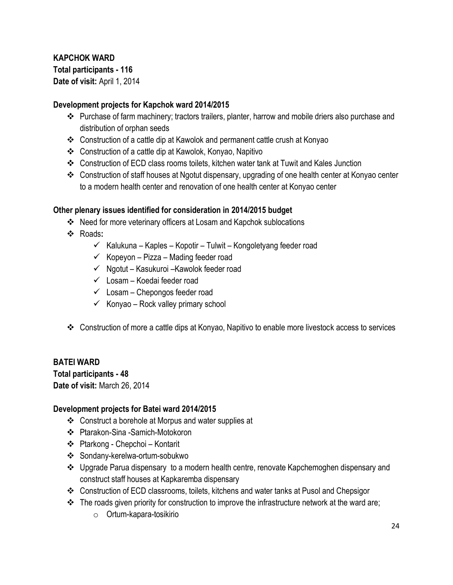## **KAPCHOK WARD Total participants - 116 Date of visit:** April 1, 2014

#### **Development projects for Kapchok ward 2014/2015**

- \* Purchase of farm machinery; tractors trailers, planter, harrow and mobile driers also purchase and distribution of orphan seeds
- Construction of a cattle dip at Kawolok and permanent cattle crush at Konyao
- Construction of a cattle dip at Kawolok, Konyao, Napitivo
- $\clubsuit$  Construction of ECD class rooms toilets, kitchen water tank at Tuwit and Kales Junction
- Construction of staff houses at Ngotut dispensary, upgrading of one health center at Konyao center to a modern health center and renovation of one health center at Konyao center

#### **Other plenary issues identified for consideration in 2014/2015 budget**

- Need for more veterinary officers at Losam and Kapchok sublocations
- Roads**:** 
	- $\checkmark$  Kalukuna Kaples Kopotir Tulwit Kongoletyang feeder road
	- $\checkmark$  Kopeyon Pizza Mading feeder road
	- $\checkmark$  Ngotut Kasukuroi –Kawolok feeder road
	- $\checkmark$  Losam Koedai feeder road
	- $\checkmark$  Losam Chepongos feeder road
	- $\checkmark$  Konyao Rock valley primary school
- Construction of more a cattle dips at Konyao, Napitivo to enable more livestock access to services

## **BATEI WARD**

**Total participants - 48 Date of visit:** March 26, 2014

#### **Development projects for Batei ward 2014/2015**

- Construct a borehole at Morpus and water supplies at
- Ptarakon-Sina -Samich-Motokoron
- Ptarkong Chepchoi Kontarit
- Sondany-kerelwa-ortum-sobukwo
- Upgrade Parua dispensaryto a modern health centre, renovate Kapchemoghen dispensary and construct staff houses at Kapkaremba dispensary
- Construction of ECD classrooms, toilets, kitchens and water tanks at Pusol and Chepsigor
- $\cdot \cdot$  The roads given priority for construction to improve the infrastructure network at the ward are;
	- o Ortum-kapara-tosikirio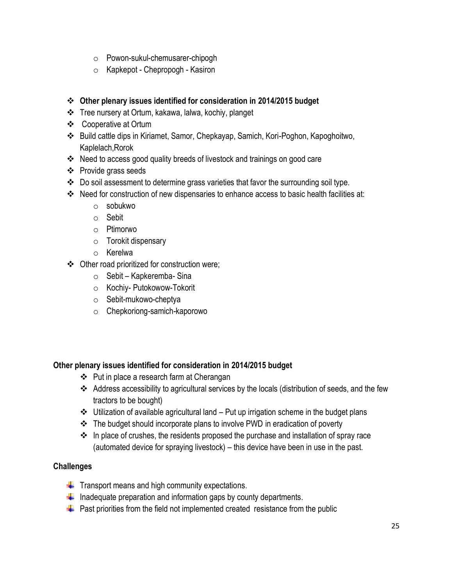- o Powon-sukul-chemusarer-chipogh
- o Kapkepot Chepropogh Kasiron

- Tree nursery at Ortum, kakawa, lalwa, kochiy, planget
- Cooperative at Ortum
- Build cattle dips in Kiriamet, Samor, Chepkayap, Samich, Kori-Poghon, Kapoghoitwo, Kaplelach,Rorok
- Need to access good quality breeds of livestock and trainings on good care
- ❖ Provide grass seeds
- Do soil assessment to determine grass varieties that favor the surrounding soil type.
- \* Need for construction of new dispensaries to enhance access to basic health facilities at:
	- o sobukwo
	- o Sebit
	- o Ptimorwo
	- o Torokit dispensary
	- o Kerelwa
- Other road prioritized for construction were;
	- $\circ$  Sebit Kapkeremba- Sina
	- o Kochiy- Putokowow-Tokorit
	- o Sebit-mukowo-cheptya
	- o Chepkoriong-samich-kaporowo

#### **Other plenary issues identified for consideration in 2014/2015 budget**

- ❖ Put in place a research farm at Cherangan
- Address accessibility to agricultural services by the locals (distribution of seeds, and the few tractors to be bought)
- $\cdot \cdot$  Utilization of available agricultural land Put up irrigation scheme in the budget plans
- The budget should incorporate plans to involve PWD in eradication of poverty
- $\cdot$  In place of crushes, the residents proposed the purchase and installation of spray race (automated device for spraying livestock) – this device have been in use in the past.

#### **Challenges**

- $\downarrow$  Transport means and high community expectations.
- $\frac{1}{2}$  Inadequate preparation and information gaps by county departments.
- $\ddot{\phantom{1}}$  Past priorities from the field not implemented created resistance from the public